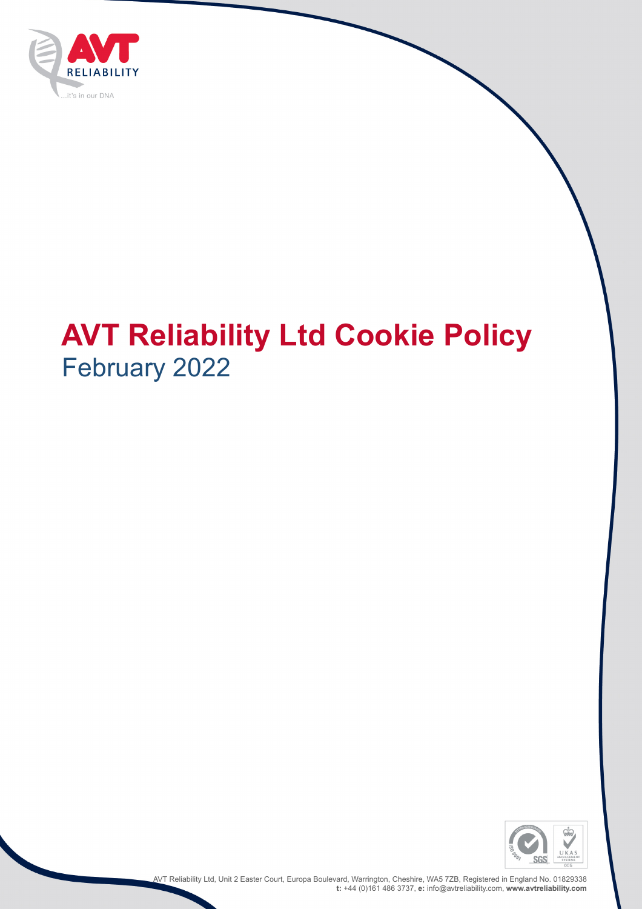

# **AVT Reliability Ltd Cookie Policy** February 2022



AVT Reliability Ltd, Unit 2 Easter Court, Europa Boulevard, Warrington, Cheshire, WA5 7ZB, Registered in England No. 01829338 **t:** +44 (0)161 486 3737, **e:** info@avtreliability.com, **www.avtreliability.com**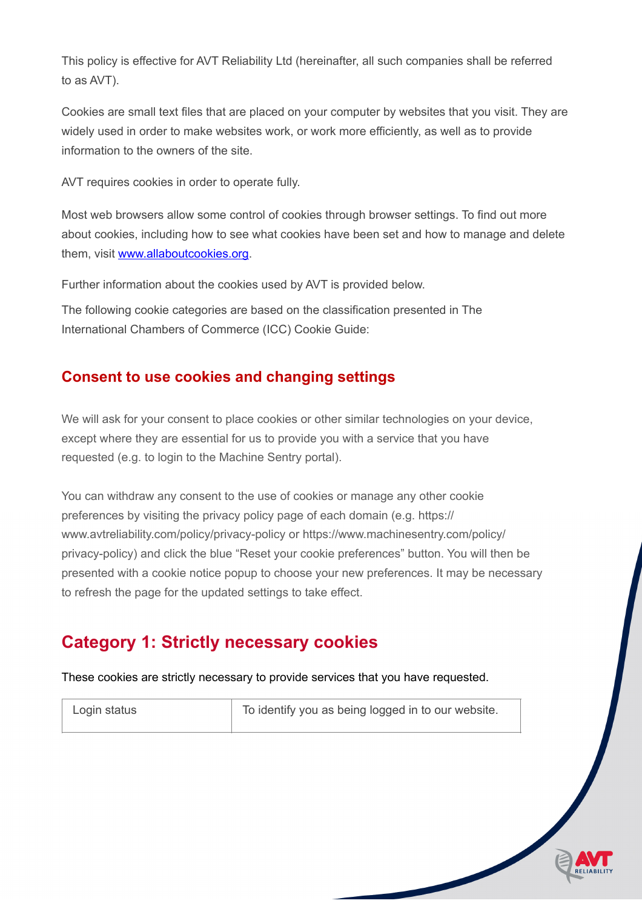This policy is effective for AVT Reliability Ltd (hereinafter, all such companies shall be referred to as AVT).

Cookies are small text files that are placed on your computer by websites that you visit. They are widely used in order to make websites work, or work more efficiently, as well as to provide information to the owners of the site.

AVT requires cookies in order to operate fully.

Most web browsers allow some control of cookies through browser settings. To find out more about cookies, including how to see what cookies have been set and how to manage and delete them, visit [www.allaboutcookies.org.](http://www.allaboutcookies.org/)

Further information about the cookies used by AVT is provided below.

The following cookie categories are based on the classification presented in The International Chambers of Commerce (ICC) Cookie Guide:

#### **Consent to use cookies and changing settings**

We will ask for your consent to place cookies or other similar technologies on your device, except where they are essential for us to provide you with a service that you have requested (e.g. to login to the Machine Sentry portal).

You can withdraw any consent to the use of cookies or manage any other cookie preferences by visiting the privacy policy page of each domain (e.g. https:// www.avtreliability.com/policy/privacy-policy or https://www.machinesentry.com/policy/ privacy-policy) and click the blue "Reset your cookie preferences" button. You will then be presented with a cookie notice popup to choose your new preferences. It may be necessary to refresh the page for the updated settings to take effect.

#### **Category 1: Strictly necessary cookies**

These cookies are strictly necessary to provide services that you have requested.

Login status **The State State State I** To identify you as being logged in to our website.

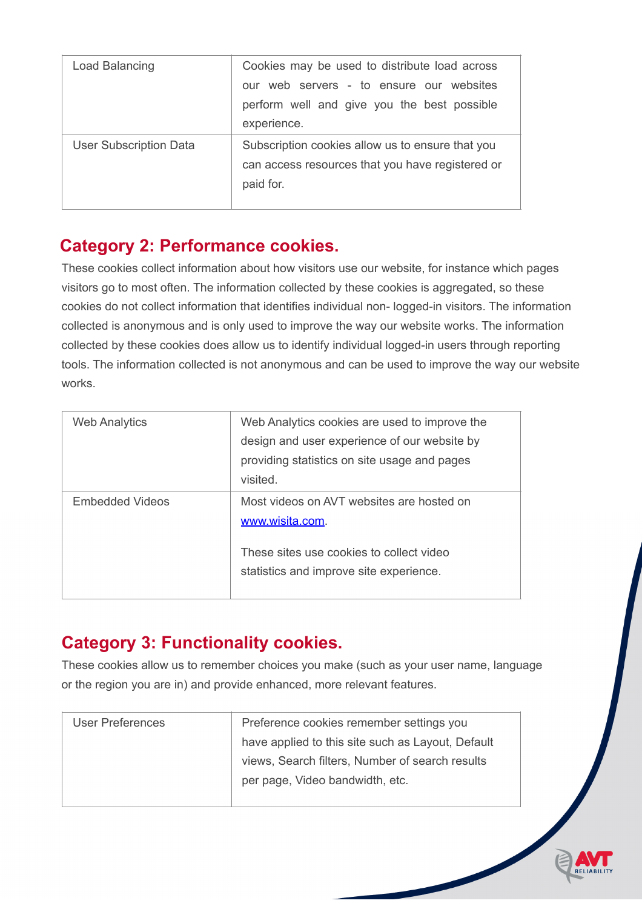| Load Balancing                | Cookies may be used to distribute load across<br>our web servers - to ensure our websites<br>perform well and give you the best possible<br>experience. |
|-------------------------------|---------------------------------------------------------------------------------------------------------------------------------------------------------|
| <b>User Subscription Data</b> | Subscription cookies allow us to ensure that you<br>can access resources that you have registered or<br>paid for.                                       |

## **Category 2: Performance cookies.**

These cookies collect information about how visitors use our website, for instance which pages visitors go to most often. The information collected by these cookies is aggregated, so these cookies do not collect information that identifies individual non- logged-in visitors. The information collected is anonymous and is only used to improve the way our website works. The information collected by these cookies does allow us to identify individual logged-in users through reporting tools. The information collected is not anonymous and can be used to improve the way our website works.

| <b>Web Analytics</b> | Web Analytics cookies are used to improve the<br>design and user experience of our website by<br>providing statistics on site usage and pages<br>visited. |
|----------------------|-----------------------------------------------------------------------------------------------------------------------------------------------------------|
| Embedded Videos      | Most videos on AVT websites are hosted on<br>www.wisita.com.                                                                                              |
|                      | These sites use cookies to collect video<br>statistics and improve site experience.                                                                       |

## **Category 3: Functionality cookies.**

These cookies allow us to remember choices you make (such as your user name, language or the region you are in) and provide enhanced, more relevant features.

| <b>User Preferences</b> | Preference cookies remember settings you          |
|-------------------------|---------------------------------------------------|
|                         | have applied to this site such as Layout, Default |
|                         | views, Search filters, Number of search results   |
|                         | per page, Video bandwidth, etc.                   |
|                         |                                                   |

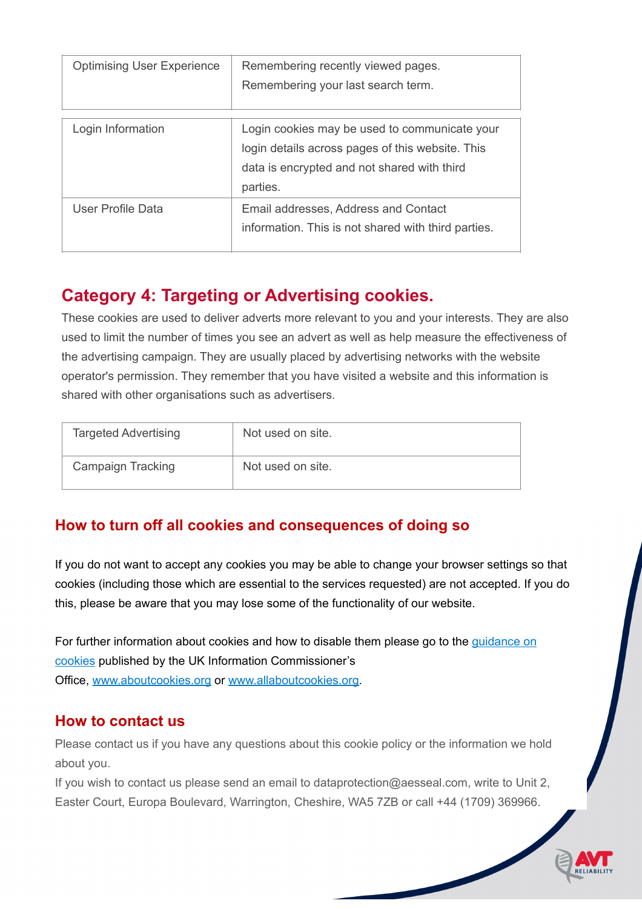| <b>Optimising User Experience</b> | Remembering recently viewed pages.<br>Remembering your last search term.                                                                                     |
|-----------------------------------|--------------------------------------------------------------------------------------------------------------------------------------------------------------|
| Login Information                 | Login cookies may be used to communicate your<br>login details across pages of this website. This<br>data is encrypted and not shared with third<br>parties. |
| <b>User Profile Data</b>          | Email addresses, Address and Contact<br>information. This is not shared with third parties.                                                                  |

## **Category 4: Targeting or Advertising cookies.**

These cookies are used to deliver adverts more relevant to you and your interests. They are also used to limit the number of times you see an advert as well as help measure the effectiveness of the advertising campaign. They are usually placed by advertising networks with the website operator's permission. They remember that you have visited a website and this information is shared with other organisations such as advertisers.

| <b>Targeted Advertising</b> | Not used on site. |
|-----------------------------|-------------------|
| <b>Campaign Tracking</b>    | Not used on site. |

#### **How to turn off all cookies and consequences of doing so**

If you do not want to accept any cookies you may be able to change your browser settings so that cookies (including those which are essential to the services requested) are not accepted. If you do this, please be aware that you may lose some of the functionality of our website.

For further information about cookies and how to disable them please go to the *guidance on* [cookies](http://ico.org.uk/for-the-public/online/cookies/) published by the UK Information Commissioner's Office, [www.aboutcookies.org](http://www.aboutcookies.org/) or [www.allaboutcookies.org.](http://www.allaboutcookies.org/)

#### **How to contact us**

Please contact us if you have any questions about this cookie policy or the information we hold about you.

If you wish to contact us please send an email to dataprotection@aesseal.com, write to Unit 2, Easter Court, Europa Boulevard, Warrington, Cheshire, WA5 7ZB or call +44 (1709) 369966.